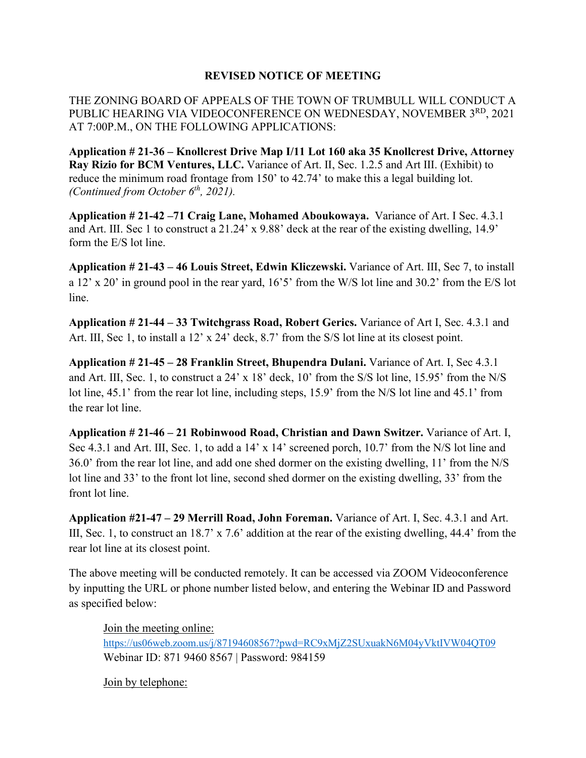## **REVISED NOTICE OF MEETING**

THE ZONING BOARD OF APPEALS OF THE TOWN OF TRUMBULL WILL CONDUCT A PUBLIC HEARING VIA VIDEOCONFERENCE ON WEDNESDAY, NOVEMBER 3<sup>RD</sup>, 2021 AT 7:00P.M., ON THE FOLLOWING APPLICATIONS:

**Application # 21-36 – Knollcrest Drive Map I/11 Lot 160 aka 35 Knollcrest Drive, Attorney Ray Rizio for BCM Ventures, LLC.** Variance of Art. Ⅱ, Sec. 1.2.5 and Art Ⅲ. (Exhibit) to reduce the minimum road frontage from 150' to 42.74' to make this a legal building lot. *(Continued from October 6th, 2021).*

**Application # 21-42 –71 Craig Lane, Mohamed Aboukowaya.** Variance of Art. Ⅰ Sec. 4.3.1 and Art. Ⅲ. Sec 1 to construct a 21.24' x 9.88' deck at the rear of the existing dwelling, 14.9' form the E/S lot line.

**Application # 21-43 – 46 Louis Street, Edwin Kliczewski.** Variance of Art. Ⅲ, Sec 7, to install a 12' x 20' in ground pool in the rear yard, 16'5' from the W/S lot line and 30.2' from the E/S lot line.

**Application # 21-44 – 33 Twitchgrass Road, Robert Gerics.** Variance of Art Ⅰ, Sec. 4.3.1 and Art. III, Sec 1, to install a 12' x 24' deck, 8.7' from the S/S lot line at its closest point.

**Application # 21-45 – 28 Franklin Street, Bhupendra Dulani.** Variance of Art. Ⅰ, Sec 4.3.1 and Art. Ⅲ, Sec. 1, to construct a 24' x 18' deck, 10' from the S/S lot line, 15.95' from the N/S lot line, 45.1' from the rear lot line, including steps, 15.9' from the N/S lot line and 45.1' from the rear lot line.

**Application # 21-46 – 21 Robinwood Road, Christian and Dawn Switzer.** Variance of Art. Ⅰ, Sec 4.3.1 and Art. III, Sec. 1, to add a 14' x 14' screened porch, 10.7' from the N/S lot line and 36.0' from the rear lot line, and add one shed dormer on the existing dwelling, 11' from the N/S lot line and 33' to the front lot line, second shed dormer on the existing dwelling, 33' from the front lot line.

**Application #21-47 – 29 Merrill Road, John Foreman.** Variance of Art. Ⅰ, Sec. 4.3.1 and Art. III, Sec. 1, to construct an 18.7' x 7.6' addition at the rear of the existing dwelling, 44.4' from the rear lot line at its closest point.

The above meeting will be conducted remotely. It can be accessed via ZOOM Videoconference by inputting the URL or phone number listed below, and entering the Webinar ID and Password as specified below:

Join the meeting online: <https://us06web.zoom.us/j/87194608567?pwd=RC9xMjZ2SUxuakN6M04yVktIVW04QT09> Webinar ID: 871 9460 8567 | Password: 984159

Join by telephone: